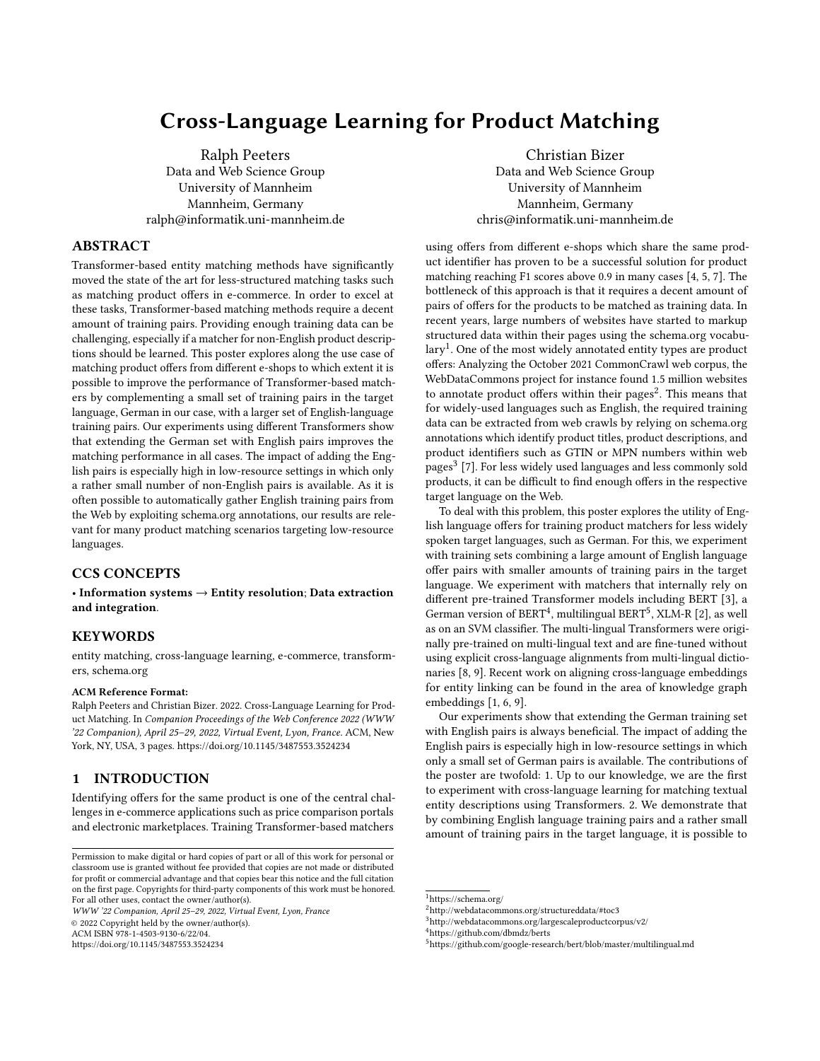# Cross-Language Learning for Product Matching

[Ralph Peeters](https://orcid.org/0000-0003-3174-2616) Data and Web Science Group University of Mannheim Mannheim, Germany ralph@informatik.uni-mannheim.de

ABSTRACT

Transformer-based entity matching methods have significantly moved the state of the art for less-structured matching tasks such as matching product offers in e-commerce. In order to excel at these tasks, Transformer-based matching methods require a decent amount of training pairs. Providing enough training data can be challenging, especially if a matcher for non-English product descriptions should be learned. This poster explores along the use case of matching product offers from different e-shops to which extent it is possible to improve the performance of Transformer-based matchers by complementing a small set of training pairs in the target language, German in our case, with a larger set of English-language training pairs. Our experiments using different Transformers show that extending the German set with English pairs improves the matching performance in all cases. The impact of adding the English pairs is especially high in low-resource settings in which only a rather small number of non-English pairs is available. As it is often possible to automatically gather English training pairs from the Web by exploiting schema.org annotations, our results are relevant for many product matching scenarios targeting low-resource languages.

# CCS CONCEPTS

• Information systems → Entity resolution; Data extraction and integration.

#### **KEYWORDS**

entity matching, cross-language learning, e-commerce, transformers, schema.org

#### ACM Reference Format:

Ralph Peeters and Christian Bizer. 2022. Cross-Language Learning for Product Matching. In Companion Proceedings of the Web Conference 2022 (WWW '22 Companion), April 25–29, 2022, Virtual Event, Lyon, France. ACM, New York, NY, USA, [3](#page-2-0) pages.<https://doi.org/10.1145/3487553.3524234>

## 1 INTRODUCTION

Identifying offers for the same product is one of the central challenges in e-commerce applications such as price comparison portals and electronic marketplaces. Training Transformer-based matchers

WWW '22 Companion, April 25–29, 2022, Virtual Event, Lyon, France © 2022 Copyright held by the owner/author(s).

ACM ISBN 978-1-4503-9130-6/22/04.

<https://doi.org/10.1145/3487553.3524234>

[Christian Bizer](https://orcid.org/0000-0003-2367-0237) Data and Web Science Group University of Mannheim Mannheim, Germany chris@informatik.uni-mannheim.de

using offers from different e-shops which share the same product identifier has proven to be a successful solution for product matching reaching F1 scores above 0.9 in many cases [\[4,](#page-2-1) [5,](#page-2-2) [7\]](#page-2-3). The bottleneck of this approach is that it requires a decent amount of pairs of offers for the products to be matched as training data. In recent years, large numbers of websites have started to markup structured data within their pages using the schema.org vocabu-lary<sup>[1](#page-0-0)</sup>. One of the most widely annotated entity types are product offers: Analyzing the October 2021 CommonCrawl web corpus, the WebDataCommons project for instance found 1.5 million websites to annotate product offers within their pages $^2$  $^2$ . This means that for widely-used languages such as English, the required training data can be extracted from web crawls by relying on schema.org annotations which identify product titles, product descriptions, and product identifiers such as GTIN or MPN numbers within web pages $^3$  $^3$  [\[7\]](#page-2-3). For less widely used languages and less commonly sold products, it can be difficult to find enough offers in the respective target language on the Web.

To deal with this problem, this poster explores the utility of English language offers for training product matchers for less widely spoken target languages, such as German. For this, we experiment with training sets combining a large amount of English language offer pairs with smaller amounts of training pairs in the target language. We experiment with matchers that internally rely on different pre-trained Transformer models including BERT [\[3\]](#page-2-4), a German version of BERT<sup>[4](#page-0-3)</sup>, multilingual BERT<sup>[5](#page-0-4)</sup>, XLM-R [\[2\]](#page-2-5), as well as on an SVM classifier. The multi-lingual Transformers were originally pre-trained on multi-lingual text and are fine-tuned without using explicit cross-language alignments from multi-lingual dictionaries [\[8,](#page-2-6) [9\]](#page-2-7). Recent work on aligning cross-language embeddings for entity linking can be found in the area of knowledge graph embeddings [\[1,](#page-2-8) [6,](#page-2-9) [9\]](#page-2-7).

Our experiments show that extending the German training set with English pairs is always beneficial. The impact of adding the English pairs is especially high in low-resource settings in which only a small set of German pairs is available. The contributions of the poster are twofold: 1. Up to our knowledge, we are the first to experiment with cross-language learning for matching textual entity descriptions using Transformers. 2. We demonstrate that by combining English language training pairs and a rather small amount of training pairs in the target language, it is possible to

Permission to make digital or hard copies of part or all of this work for personal or classroom use is granted without fee provided that copies are not made or distributed for profit or commercial advantage and that copies bear this notice and the full citation on the first page. Copyrights for third-party components of this work must be honored. For all other uses, contact the owner/author(s).

<span id="page-0-0"></span><sup>&</sup>lt;sup>1</sup><https://schema.org/>

<span id="page-0-1"></span><sup>2</sup><http://webdatacommons.org/structureddata/#toc3>

<span id="page-0-2"></span> $^3$ <http://webdatacommons.org/largescaleproductcorpus/v2/>

<span id="page-0-3"></span><sup>4</sup>https://github.com/dbmdz/berts

<span id="page-0-4"></span><sup>5</sup>https://github.com/google-research/bert/blob/master/multilingual.md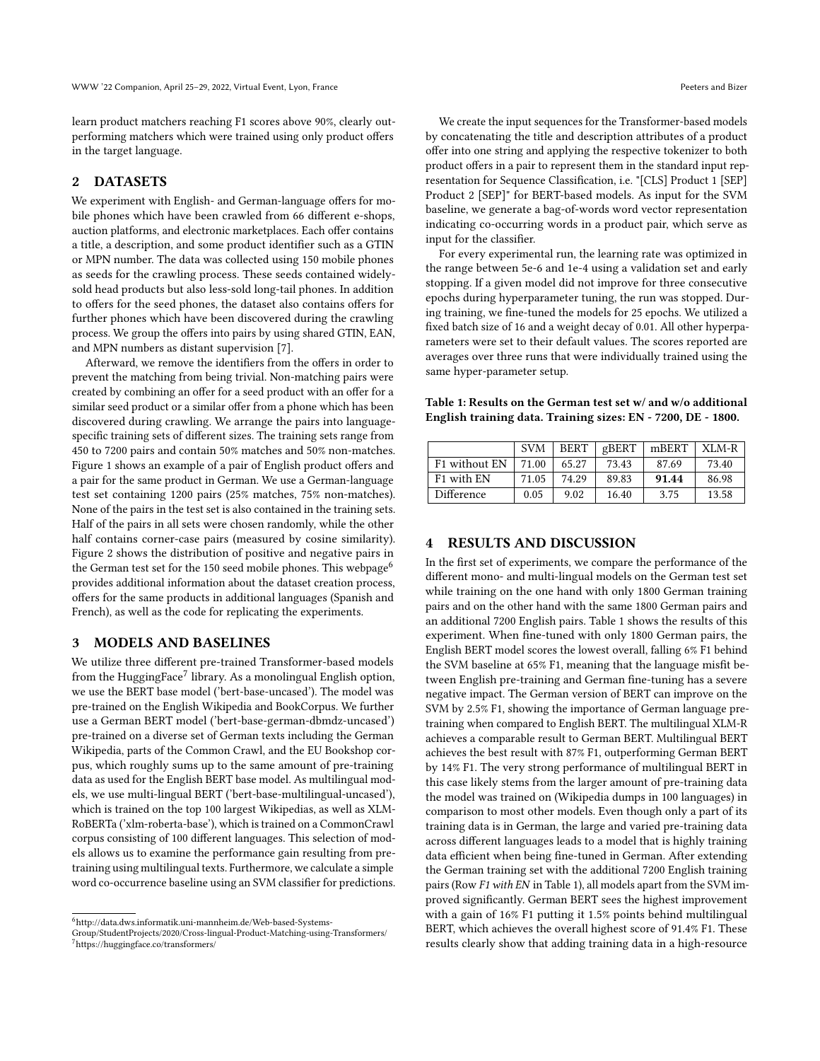learn product matchers reaching F1 scores above 90%, clearly outperforming matchers which were trained using only product offers in the target language.

## 2 DATASETS

We experiment with English- and German-language offers for mobile phones which have been crawled from 66 different e-shops, auction platforms, and electronic marketplaces. Each offer contains a title, a description, and some product identifier such as a GTIN or MPN number. The data was collected using 150 mobile phones as seeds for the crawling process. These seeds contained widelysold head products but also less-sold long-tail phones. In addition to offers for the seed phones, the dataset also contains offers for further phones which have been discovered during the crawling process. We group the offers into pairs by using shared GTIN, EAN, and MPN numbers as distant supervision [\[7\]](#page-2-3).

Afterward, we remove the identifiers from the offers in order to prevent the matching from being trivial. Non-matching pairs were created by combining an offer for a seed product with an offer for a similar seed product or a similar offer from a phone which has been discovered during crawling. We arrange the pairs into languagespecific training sets of different sizes. The training sets range from 450 to 7200 pairs and contain 50% matches and 50% non-matches. Figure [1](#page-2-10) shows an example of a pair of English product offers and a pair for the same product in German. We use a German-language test set containing 1200 pairs (25% matches, 75% non-matches). None of the pairs in the test set is also contained in the training sets. Half of the pairs in all sets were chosen randomly, while the other half contains corner-case pairs (measured by cosine similarity). Figure [2](#page-2-11) shows the distribution of positive and negative pairs in the German test set for the 150 seed mobile phones. This webpage<sup>[6](#page-1-0)</sup> provides additional information about the dataset creation process, offers for the same products in additional languages (Spanish and French), as well as the code for replicating the experiments.

#### 3 MODELS AND BASELINES

We utilize three different pre-trained Transformer-based models from the Hugging $\text{Face}^7$  $\text{Face}^7$  library. As a monolingual English option, we use the BERT base model ('bert-base-uncased'). The model was pre-trained on the English Wikipedia and BookCorpus. We further use a German BERT model ('bert-base-german-dbmdz-uncased') pre-trained on a diverse set of German texts including the German Wikipedia, parts of the Common Crawl, and the EU Bookshop corpus, which roughly sums up to the same amount of pre-training data as used for the English BERT base model. As multilingual models, we use multi-lingual BERT ('bert-base-multilingual-uncased'), which is trained on the top 100 largest Wikipedias, as well as XLM-RoBERTa ('xlm-roberta-base'), which is trained on a CommonCrawl corpus consisting of 100 different languages. This selection of models allows us to examine the performance gain resulting from pretraining using multilingual texts. Furthermore, we calculate a simple word co-occurrence baseline using an SVM classifier for predictions.

We create the input sequences for the Transformer-based models by concatenating the title and description attributes of a product offer into one string and applying the respective tokenizer to both product offers in a pair to represent them in the standard input representation for Sequence Classification, i.e. "[CLS] Product 1 [SEP] Product 2 [SEP]" for BERT-based models. As input for the SVM baseline, we generate a bag-of-words word vector representation indicating co-occurring words in a product pair, which serve as input for the classifier.

For every experimental run, the learning rate was optimized in the range between 5e-6 and 1e-4 using a validation set and early stopping. If a given model did not improve for three consecutive epochs during hyperparameter tuning, the run was stopped. During training, we fine-tuned the models for 25 epochs. We utilized a fixed batch size of 16 and a weight decay of 0.01. All other hyperparameters were set to their default values. The scores reported are averages over three runs that were individually trained using the same hyper-parameter setup.

<span id="page-1-2"></span>Table 1: Results on the German test set w/ and w/o additional English training data. Training sizes: EN - 7200, DE - 1800.

|                        | <b>SVM</b> | <b>BERT</b> | gBERT | mBERT | $XLM-R$ |
|------------------------|------------|-------------|-------|-------|---------|
| F1 without EN          | 71.00      | 65.27       | 73.43 | 87.69 | 73.40   |
| F <sub>1</sub> with EN | 71.05      | 74.29       | 89.83 | 91.44 | 86.98   |
| Difference             | 0.05       | 9.02        | 16.40 | 3.75  | 13.58   |

## 4 RESULTS AND DISCUSSION

In the first set of experiments, we compare the performance of the different mono- and multi-lingual models on the German test set while training on the one hand with only 1800 German training pairs and on the other hand with the same 1800 German pairs and an additional 7200 English pairs. Table [1](#page-1-2) shows the results of this experiment. When fine-tuned with only 1800 German pairs, the English BERT model scores the lowest overall, falling 6% F1 behind the SVM baseline at 65% F1, meaning that the language misfit between English pre-training and German fine-tuning has a severe negative impact. The German version of BERT can improve on the SVM by 2.5% F1, showing the importance of German language pretraining when compared to English BERT. The multilingual XLM-R achieves a comparable result to German BERT. Multilingual BERT achieves the best result with 87% F1, outperforming German BERT by 14% F1. The very strong performance of multilingual BERT in this case likely stems from the larger amount of pre-training data the model was trained on (Wikipedia dumps in 100 languages) in comparison to most other models. Even though only a part of its training data is in German, the large and varied pre-training data across different languages leads to a model that is highly training data efficient when being fine-tuned in German. After extending the German training set with the additional 7200 English training pairs (Row F1 with EN in Table [1\)](#page-1-2), all models apart from the SVM improved significantly. German BERT sees the highest improvement with a gain of 16% F1 putting it 1.5% points behind multilingual BERT, which achieves the overall highest score of 91.4% F1. These results clearly show that adding training data in a high-resource

<span id="page-1-0"></span> $^6$ http://data.dws.informatik.uni-mannheim.de/Web-based-Systems-

<span id="page-1-1"></span>Group/StudentProjects/2020/Cross-lingual-Product-Matching-using-Transformers/ <sup>7</sup>https://huggingface.co/transformers/